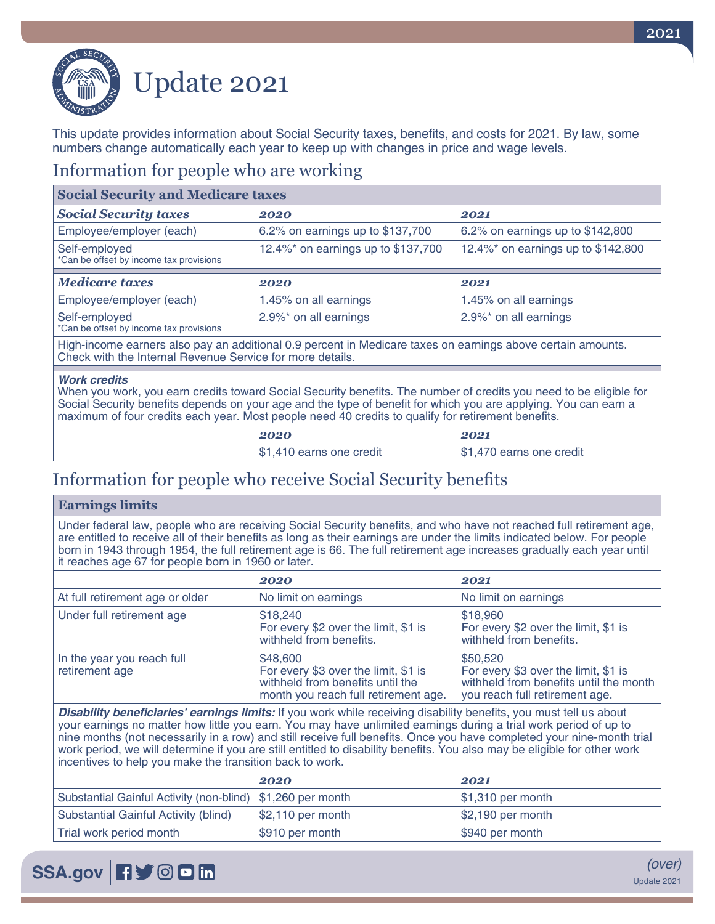

# Update 2021

This update provides information about Social Security taxes, benefits, and costs for 2021. By law, some numbers change automatically each year to keep up with changes in price and wage levels.

#### Information for people who are working

| <b>Social Security and Medicare taxes</b>                                                                                                                                |                                    |                                    |
|--------------------------------------------------------------------------------------------------------------------------------------------------------------------------|------------------------------------|------------------------------------|
| <b>Social Security taxes</b>                                                                                                                                             | 2020                               | 2021                               |
| Employee/employer (each)                                                                                                                                                 | 6.2% on earnings up to \$137,700   | 6.2% on earnings up to \$142,800   |
| Self-employed<br>*Can be offset by income tax provisions                                                                                                                 | 12.4%* on earnings up to \$137,700 | 12.4%* on earnings up to \$142,800 |
| <b>Medicare taxes</b>                                                                                                                                                    | 2020                               | 2021                               |
|                                                                                                                                                                          |                                    |                                    |
| Employee/employer (each)                                                                                                                                                 | 1.45% on all earnings              | 1.45% on all earnings              |
| Self-employed<br>*Can be offset by income tax provisions                                                                                                                 | 2.9%* on all earnings              | 2.9%* on all earnings              |
| High-income earners also pay an additional 0.9 percent in Medicare taxes on earnings above certain amounts.<br>Check with the Internal Revenue Service for more details. |                                    |                                    |
|                                                                                                                                                                          |                                    |                                    |

#### *Work credits*

When you work, you earn credits toward Social Security benefits. The number of credits you need to be eligible for Social Security benefits depends on your age and the type of benefit for which you are applying. You can earn a maximum of four credits each year. Most people need 40 credits to qualify for retirement benefits.

| 2020                          | 2021                       |
|-------------------------------|----------------------------|
| 1,410 earns one credit<br>\$1 | earns one credit<br>- 35 F |

### Information for people who receive Social Security benefits

#### **Earnings limits**

Under federal law, people who are receiving Social Security benefits, and who have not reached full retirement age, are entitled to receive all of their benefits as long as their earnings are under the limits indicated below. For people born in 1943 through 1954, the full retirement age is 66. The full retirement age increases gradually each year until it reaches age 67 for people born in 1960 or later.

|                                              | 2020                                                                                                                         | 2021                                                                                                                         |
|----------------------------------------------|------------------------------------------------------------------------------------------------------------------------------|------------------------------------------------------------------------------------------------------------------------------|
| At full retirement age or older              | No limit on earnings                                                                                                         | No limit on earnings                                                                                                         |
| Under full retirement age                    | \$18,240<br>For every \$2 over the limit, \$1 is<br>withheld from benefits.                                                  | \$18,960<br>For every \$2 over the limit, \$1 is<br>withheld from benefits.                                                  |
| In the year you reach full<br>retirement age | \$48,600<br>For every \$3 over the limit, \$1 is<br>withheld from benefits until the<br>month you reach full retirement age. | \$50,520<br>For every \$3 over the limit, \$1 is<br>withheld from benefits until the month<br>you reach full retirement age. |

**Disability beneficiaries' earnings limits:** If you work while receiving disability benefits, you must tell us about your earnings no matter how little you earn. You may have unlimited earnings during a trial work period of up to nine months (not necessarily in a row) and still receive full benefits. Once you have completed your nine-month trial work period, we will determine if you are still entitled to disability benefits. You also may be eligible for other work incentives to help you make the transition back to work.

|                                                              | 2020               | 2021                            |
|--------------------------------------------------------------|--------------------|---------------------------------|
| Substantial Gainful Activity (non-blind)   \$1,260 per month |                    | $\frac{1}{2}$ \$1,310 per month |
| Substantial Gainful Activity (blind)                         | $$2,110$ per month | $\frac{1}{2}$ , 190 per month   |
| Trial work period month                                      | \$910 per month    | \$940 per month                 |